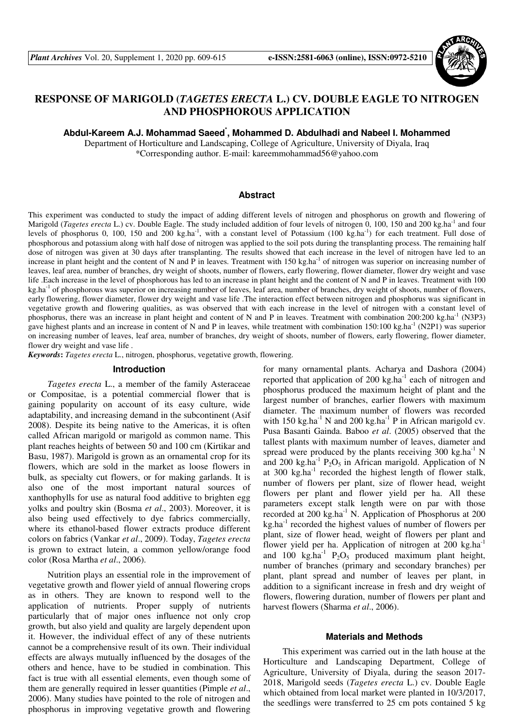

# **RESPONSE OF MARIGOLD (***TAGETES ERECTA* **L.) CV. DOUBLE EAGLE TO NITROGEN AND PHOSPHOROUS APPLICATION**

**Abdul-Kareem A.J. Mohammad Saeed\* , Mohammed D. Abdulhadi and Nabeel I. Mohammed**

Department of Horticulture and Landscaping, College of Agriculture, University of Diyala, Iraq \*Corresponding author. E-mail: kareemmohammad56@yahoo.com

#### **Abstract**

This experiment was conducted to study the impact of adding different levels of nitrogen and phosphorus on growth and flowering of Marigold (*Tagetes erecta* L.) cv. Double Eagle. The study included addition of four levels of nitrogen 0, 100, 150 and 200 kg.ha<sup>-1</sup> and four levels of phosphorus 0, 100, 150 and 200 kg.ha<sup>-1</sup>, with a constant level of Potassium (100 kg.ha<sup>-1</sup>) for each treatment. Full dose of phosphorous and potassium along with half dose of nitrogen was applied to the soil pots during the transplanting process. The remaining half dose of nitrogen was given at 30 days after transplanting. The results showed that each increase in the level of nitrogen have led to an increase in plant height and the content of N and P in leaves. Treatment with  $150 \text{ kg.ha}^{-1}$  of nitrogen was superior on increasing number of leaves, leaf area, number of branches, dry weight of shoots, number of flowers, early flowering, flower diameter, flower dry weight and vase life .Each increase in the level of phosphorous has led to an increase in plant height and the content of N and P in leaves. Treatment with 100 kg.ha<sup>-1</sup> of phosphorous was superior on increasing number of leaves, leaf area, number of branches, dry weight of shoots, number of flowers, early flowering, flower diameter, flower dry weight and vase life .The interaction effect between nitrogen and phosphorus was significant in vegetative growth and flowering qualities, as was observed that with each increase in the level of nitrogen with a constant level of phosphorus, there was an increase in plant height and content of N and P in leaves. Treatment with combination  $200:200 \text{ kg.ha}^{-1}$  (N3P3) gave highest plants and an increase in content of N and P in leaves, while treatment with combination  $150:100 \text{ kg.ha}^{-1}$  (N2P1) was superior on increasing number of leaves, leaf area, number of branches, dry weight of shoots, number of flowers, early flowering, flower diameter, flower dry weight and vase life .

*Keywords***:** *Tagetes erecta* L., nitrogen, phosphorus, vegetative growth, flowering.

#### **Introduction**

*Tagetes erecta* L., a member of the family Asteraceae or Compositae, is a potential commercial flower that is gaining popularity on account of its easy culture, wide adaptability, and increasing demand in the subcontinent (Asif 2008). Despite its being native to the Americas, it is often called African marigold or marigold as common name. This plant reaches heights of between 50 and 100 cm (Kirtikar and Basu, 1987). Marigold is grown as an ornamental crop for its flowers, which are sold in the market as loose flowers in bulk, as specialty cut flowers, or for making garlands. It is also one of the most important natural sources of xanthophylls for use as natural food additive to brighten egg yolks and poultry skin (Bosma *et al*., 2003). Moreover, it is also being used effectively to dye fabrics commercially, where its ethanol-based flower extracts produce different colors on fabrics (Vankar *et al*., 2009). Today, *Tagetes erecta*  is grown to extract lutein, a common yellow/orange food color (Rosa Martha *et al*., 2006).

Nutrition plays an essential role in the improvement of vegetative growth and flower yield of annual flowering crops as in others. They are known to respond well to the application of nutrients. Proper supply of nutrients particularly that of major ones influence not only crop growth, but also yield and quality are largely dependent upon it. However, the individual effect of any of these nutrients cannot be a comprehensive result of its own. Their individual effects are always mutually influenced by the dosages of the others and hence, have to be studied in combination. This fact is true with all essential elements, even though some of them are generally required in lesser quantities (Pimple *et al*., 2006). Many studies have pointed to the role of nitrogen and phosphorus in improving vegetative growth and flowering

for many ornamental plants. Acharya and Dashora (2004) reported that application of  $200 \text{ kg.ha}^{-1}$  each of nitrogen and phosphorus produced the maximum height of plant and the largest number of branches, earlier flowers with maximum diameter. The maximum number of flowers was recorded with 150 kg.ha<sup>-1</sup> N and 200 kg.ha<sup>-1</sup> P in African marigold cv. Pusa Basanti Gainda. Baboo *et al*. (2005) observed that the tallest plants with maximum number of leaves, diameter and spread were produced by the plants receiving  $300 \text{ kg.ha}^{-1} \text{ N}$ and 200 kg.ha<sup>-1</sup> P<sub>2</sub>O<sub>5</sub> in African marigold. Application of N at  $300 \text{ kg.ha}^{-1}$  recorded the highest length of flower stalk, number of flowers per plant, size of flower head, weight flowers per plant and flower yield per ha. All these parameters except stalk length were on par with those recorded at 200 kg.ha<sup>-1</sup> N. Application of Phosphorus at 200  $kg<sub>1</sub>ha<sup>-1</sup>$  recorded the highest values of number of flowers per plant, size of flower head, weight of flowers per plant and flower yield per ha. Application of nitrogen at  $200 \text{ kg.ha}^{-1}$ and 100 kg.ha<sup>-1</sup> P<sub>2</sub>O<sub>5</sub> produced maximum plant height, number of branches (primary and secondary branches) per plant, plant spread and number of leaves per plant, in addition to a significant increase in fresh and dry weight of flowers, flowering duration, number of flowers per plant and harvest flowers (Sharma *et al*., 2006).

## **Materials and Methods**

This experiment was carried out in the lath house at the Horticulture and Landscaping Department, College of Agriculture, University of Diyala, during the season 2017- 2018, Marigold seeds (*Tagetes erecta* L.) cv. Double Eagle which obtained from local market were planted in 10/3/2017, the seedlings were transferred to 25 cm pots contained 5 kg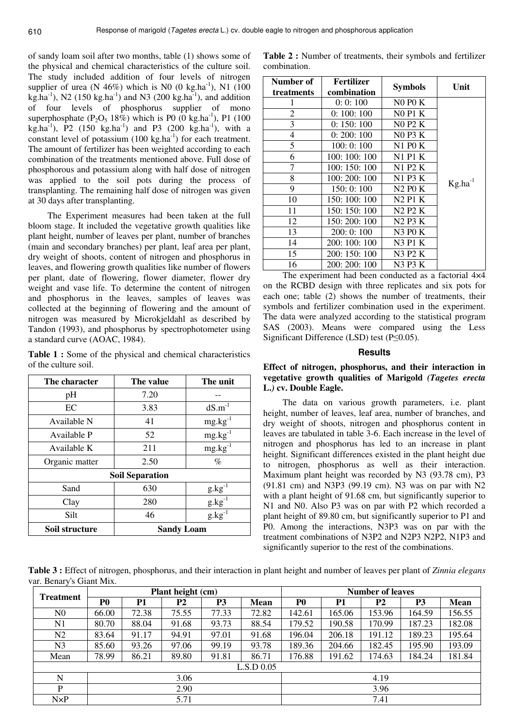of sandy loam soil after two months, table (1) shows some of the physical and chemical characteristics of the culture soil. The study included addition of four levels of nitrogen supplier of urea (N 46%) which is N0 (0 kg.ha<sup>-1</sup>), N1 (100 kg.ha<sup>-1</sup>), N2 (150 kg.ha<sup>-1</sup>) and N3 (200 kg.ha<sup>-1</sup>), and addition of four levels of phosphorus supplier of mono superphosphate ( $P_2O_5$  18%) which is P0 (0 kg.ha<sup>-1</sup>), P1 (100) kg.ha<sup>-1</sup>), P2 (150 kg.ha<sup>-1</sup>) and P3 (200 kg.ha<sup>-1</sup>), with a constant level of potassium (100 kg.ha<sup>-1</sup>) for each treatment. The amount of fertilizer has been weighted according to each combination of the treatments mentioned above. Full dose of phosphorous and potassium along with half dose of nitrogen was applied to the soil pots during the process of transplanting. The remaining half dose of nitrogen was given at 30 days after transplanting.

The Experiment measures had been taken at the full bloom stage. It included the vegetative growth qualities like plant height, number of leaves per plant, number of branches (main and secondary branches) per plant, leaf area per plant, dry weight of shoots, content of nitrogen and phosphorus in leaves, and flowering growth qualities like number of flowers per plant, date of flowering, flower diameter, flower dry weight and vase life. To determine the content of nitrogen and phosphorus in the leaves, samples of leaves was collected at the beginning of flowering and the amount of nitrogen was measured by Microkjeldahl as described by Tandon (1993), and phosphorus by spectrophotometer using a standard curve (AOAC, 1984).

**Table 1 :** Some of the physical and chemical characteristics of the culture soil.

| The character  | The value              | The unit                         |  |  |
|----------------|------------------------|----------------------------------|--|--|
| pH             | 7.20                   |                                  |  |  |
| EC             | 3.83                   | $dS.m^{-1}$                      |  |  |
| Available N    | 41                     | $mg.kg^{-1}$                     |  |  |
| Available P    | 52                     | $mg.kg^{-1}$                     |  |  |
| Available K    | 211                    | $mg.kg^{-1}$                     |  |  |
| Organic matter | 2.50                   | $\%$                             |  |  |
|                | <b>Soil Separation</b> |                                  |  |  |
| Sand           | 630                    | $g \cdot kg^{-1}$                |  |  |
| Clay           | 280                    | $\overline{g}$ .kg <sup>-1</sup> |  |  |
| Silt           | 46                     | $g.kg^{-1}$                      |  |  |
| Soil structure | <b>Sandy Loam</b>      |                                  |  |  |

**Table 2 :** Number of treatments, their symbols and fertilizer combination.

| combination<br>treatments                         | Unit |
|---------------------------------------------------|------|
| $NO$ PO $K$<br>0:0:100                            |      |
| 2<br>0:100:100<br>N0 P1 K                         |      |
| 3<br>0:150:100<br>N <sub>0</sub> P <sub>2</sub> K |      |
| 4<br>0: 200: 100<br>N0 P3 K                       |      |
| 5<br>N1 P0 K<br>100:0:100                         |      |
| 100: 100: 100<br>N1 P1 K<br>6                     |      |
| 7<br>100: 150: 100<br>N1 P2 K                     |      |
| 8<br>100: 200: 100<br>N1 P3 K<br>$Kg.ha^{-1}$     |      |
| 9<br>N <sub>2</sub> P <sub>0</sub> K<br>150:0:100 |      |
| 10<br>150: 100: 100<br>N2 P1 K                    |      |
| 150: 150: 100<br>11<br>N2 P2 K                    |      |
| 12<br>150: 200: 100<br>N2 P3 K                    |      |
| 13<br>200: 0: 100<br>N3 P0 K                      |      |
| 200: 100: 100<br>N3 P1 K<br>14                    |      |
| 15<br>200: 150: 100<br>N3 P2 K                    |      |
| 200: 200: 100<br>N3 P3 K<br>16                    |      |

The experiment had been conducted as a factorial 4×4 on the RCBD design with three replicates and six pots for each one; table (2) shows the number of treatments, their symbols and fertilizer combination used in the experiment. The data were analyzed according to the statistical program SAS (2003). Means were compared using the Less Significant Difference (LSD) test (P≤0.05).

### **Results**

# **Effect of nitrogen, phosphorus, and their interaction in vegetative growth qualities of Marigold** *(Tagetes erecta*  **L.***)* **cv. Double Eagle.**

The data on various growth parameters, i.e. plant height, number of leaves, leaf area, number of branches, and dry weight of shoots, nitrogen and phosphorus content in leaves are tabulated in table 3-6. Each increase in the level of nitrogen and phosphorus has led to an increase in plant height. Significant differences existed in the plant height due to nitrogen, phosphorus as well as their interaction. Maximum plant height was recorded by N3 (93.78 cm), P3 (91.81 cm) and N3P3 (99.19 cm). N3 was on par with N2 with a plant height of 91.68 cm, but significantly superior to N1 and N0. Also P3 was on par with P2 which recorded a plant height of 89.80 cm, but significantly superior to P1 and P0. Among the interactions, N3P3 was on par with the treatment combinations of N3P2 and N2P3 N2P2, N1P3 and significantly superior to the rest of the combinations.

**Table 3 :** Effect of nitrogen, phosphorus, and their interaction in plant height and number of leaves per plant of *Zinnia elegans* var. Benary's Giant Mix.

|                  |                |           | Plant height (cm) |           |             | <b>Number of leaves</b> |        |           |                |             |
|------------------|----------------|-----------|-------------------|-----------|-------------|-------------------------|--------|-----------|----------------|-------------|
| <b>Treatment</b> | P <sub>0</sub> | <b>P1</b> | <b>P2</b>         | <b>P3</b> | <b>Mean</b> | P <sub>0</sub>          | P1     | <b>P2</b> | P <sub>3</sub> | <b>Mean</b> |
| N <sub>0</sub>   | 66.00          | 72.38     | 75.55             | 77.33     | 72.82       | 142.61                  | 165.06 | 153.96    | 164.59         | 156.55      |
| N1               | 80.70          | 88.04     | 91.68             | 93.73     | 88.54       | 179.52                  | 190.58 | 170.99    | 187.23         | 182.08      |
| N2               | 83.64          | 91.17     | 94.91             | 97.01     | 91.68       | 196.04                  | 206.18 | 191.12    | 189.23         | 195.64      |
| N <sub>3</sub>   | 85.60          | 93.26     | 97.06             | 99.19     | 93.78       | 189.36                  | 204.66 | 182.45    | 195.90         | 193.09      |
| Mean             | 78.99          | 86.21     | 89.80             | 91.81     | 86.71       | 176.88                  | 191.62 | 174.63    | 184.24         | 181.84      |
|                  |                |           |                   |           | L.S.D.0.05  |                         |        |           |                |             |
| N                |                |           | 3.06<br>4.19      |           |             |                         |        |           |                |             |
| P                |                |           | 2.90              |           |             | 3.96                    |        |           |                |             |
| $N \times P$     |                |           | 5.71              |           |             |                         |        | 7.41      |                |             |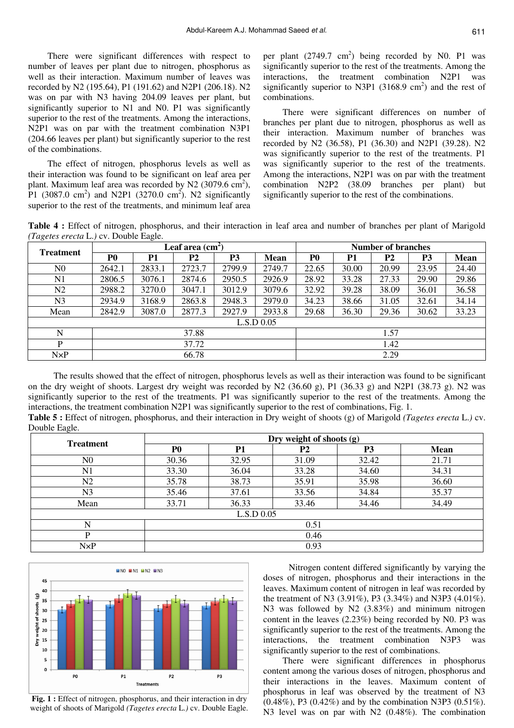There were significant differences with respect to number of leaves per plant due to nitrogen, phosphorus as well as their interaction. Maximum number of leaves was recorded by N2 (195.64), P1 (191.62) and N2P1 (206.18). N2 was on par with N3 having 204.09 leaves per plant, but significantly superior to N1 and N0. P1 was significantly superior to the rest of the treatments. Among the interactions, N2P1 was on par with the treatment combination N3P1 (204.66 leaves per plant) but significantly superior to the rest of the combinations.

The effect of nitrogen, phosphorus levels as well as their interaction was found to be significant on leaf area per plant. Maximum leaf area was recorded by N2 (3079.6  $\text{cm}^2$ ), P1 (3087.0 cm<sup>2</sup>) and N2P1 (3270.0 cm<sup>2</sup>). N2 significantly superior to the rest of the treatments, and minimum leaf area

per plant  $(2749.7 \text{ cm}^2)$  being recorded by N0. P1 was significantly superior to the rest of the treatments. Among the interactions, the treatment combination N2P1 was significantly superior to N3P1  $(3168.9 \text{ cm}^2)$  and the rest of combinations.

There were significant differences on number of branches per plant due to nitrogen, phosphorus as well as their interaction. Maximum number of branches was recorded by N2 (36.58), P1 (36.30) and N2P1 (39.28). N2 was significantly superior to the rest of the treatments. P1 was significantly superior to the rest of the treatments. Among the interactions, N2P1 was on par with the treatment combination N2P2 (38.09 branches per plant) but significantly superior to the rest of the combinations.

**Table 4 :** Effect of nitrogen, phosphorus, and their interaction in leaf area and number of branches per plant of Marigold *(Tagetes erecta* L.*)* cv. Double Eagle.

| <b>Treatment</b> | Leaf area $(cm2)$ |        |                |                |             |                | <b>Number of branches</b> |           |                |             |  |
|------------------|-------------------|--------|----------------|----------------|-------------|----------------|---------------------------|-----------|----------------|-------------|--|
|                  | P <sub>0</sub>    | P1     | P <sub>2</sub> | P <sub>3</sub> | <b>Mean</b> | P <sub>0</sub> | P1                        | <b>P2</b> | P <sub>3</sub> | <b>Mean</b> |  |
| N <sub>0</sub>   | 2642.1            | 2833.1 | 2723.7         | 2799.9         | 2749.7      | 22.65          | 30.00                     | 20.99     | 23.95          | 24.40       |  |
| N1               | 2806.5            | 3076.1 | 2874.6         | 2950.5         | 2926.9      | 28.92          | 33.28                     | 27.33     | 29.90          | 29.86       |  |
| N2               | 2988.2            | 3270.0 | 3047.1         | 3012.9         | 3079.6      | 32.92          | 39.28                     | 38.09     | 36.01          | 36.58       |  |
| N <sub>3</sub>   | 2934.9            | 3168.9 | 2863.8         | 2948.3         | 2979.0      | 34.23          | 38.66                     | 31.05     | 32.61          | 34.14       |  |
| Mean             | 2842.9            | 3087.0 | 2877.3         | 2927.9         | 2933.8      | 29.68          | 36.30                     | 29.36     | 30.62          | 33.23       |  |
|                  |                   |        |                |                | L.S.D.0.05  |                |                           |           |                |             |  |
| N                |                   | 37.88  |                |                |             |                |                           | 1.57      |                |             |  |
| P                |                   | 1.42   |                |                |             |                |                           |           |                |             |  |
| $N \times P$     |                   |        | 66.78          |                |             |                |                           | 2.29      |                |             |  |

The results showed that the effect of nitrogen, phosphorus levels as well as their interaction was found to be significant on the dry weight of shoots. Largest dry weight was recorded by N2 (36.60 g), P1 (36.33 g) and N2P1 (38.73 g). N2 was significantly superior to the rest of the treatments. P1 was significantly superior to the rest of the treatments. Among the interactions, the treatment combination N2P1 was significantly superior to the rest of combinations, Fig. 1. **Table 5 :** Effect of nitrogen, phosphorus, and their interaction in Dry weight of shoots (g) of Marigold *(Tagetes erecta* L.*)* cv.

| <b>Treatment</b> | Dry weight of shoots (g) |            |           |                |             |  |  |  |  |  |  |
|------------------|--------------------------|------------|-----------|----------------|-------------|--|--|--|--|--|--|
|                  | P <sub>0</sub>           | <b>P1</b>  | <b>P2</b> | P <sub>3</sub> | <b>Mean</b> |  |  |  |  |  |  |
| N <sub>0</sub>   | 30.36                    | 32.95      | 31.09     | 32.42          | 21.71       |  |  |  |  |  |  |
| N1               | 33.30                    | 36.04      | 33.28     | 34.60          | 34.31       |  |  |  |  |  |  |
| N2               | 35.78                    | 38.73      | 35.91     | 35.98          | 36.60       |  |  |  |  |  |  |
| N <sub>3</sub>   | 35.46                    | 37.61      | 33.56     | 34.84          | 35.37       |  |  |  |  |  |  |
| Mean             | 33.71                    | 36.33      | 33.46     | 34.46          | 34.49       |  |  |  |  |  |  |
|                  |                          | L.S.D.0.05 |           |                |             |  |  |  |  |  |  |
| N                |                          |            | 0.51      |                |             |  |  |  |  |  |  |
| P                |                          | 0.46       |           |                |             |  |  |  |  |  |  |
| $N \times P$     |                          |            | 0.93      |                |             |  |  |  |  |  |  |



Double Eagle.

Fig. 1 : Effect of nitrogen, phosphorus, and their interaction in dry weight of shoots of Marigold *(Tagetes erecta* L.*)* cv. Double Eagle.

Nitrogen content differed significantly by varying the doses of nitrogen, phosphorus and their interactions in the leaves. Maximum content of nitrogen in leaf was recorded by the treatment of N3 (3.91%), P3 (3.34%) and N3P3 (4.01%). N3 was followed by N2 (3.83%) and minimum nitrogen content in the leaves (2.23%) being recorded by N0. P3 was significantly superior to the rest of the treatments. Among the interactions, the treatment combination N3P3 was significantly superior to the rest of combinations.

There were significant differences in phosphorus content among the various doses of nitrogen, phosphorus and their interactions in the leaves. Maximum content of phosphorus in leaf was observed by the treatment of N3 (0.48%), P3 (0.42%) and by the combination N3P3 (0.51%). N3 level was on par with N2 (0.48%). The combination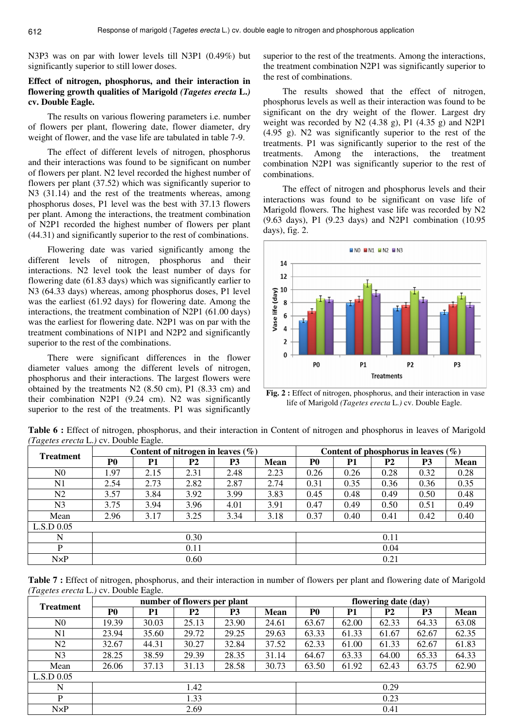N3P3 was on par with lower levels till N3P1 (0.49%) but significantly superior to still lower doses.

# **Effect of nitrogen, phosphorus, and their interaction in flowering growth qualities of Marigold** *(Tagetes erecta* **L.***)*  **cv. Double Eagle.**

The results on various flowering parameters i.e. number of flowers per plant, flowering date, flower diameter, dry weight of flower, and the vase life are tabulated in table 7-9.

The effect of different levels of nitrogen, phosphorus and their interactions was found to be significant on number of flowers per plant. N2 level recorded the highest number of flowers per plant (37.52) which was significantly superior to N3 (31.14) and the rest of the treatments whereas, among phosphorus doses, P1 level was the best with 37.13 flowers per plant. Among the interactions, the treatment combination of N2P1 recorded the highest number of flowers per plant (44.31) and significantly superior to the rest of combinations.

Flowering date was varied significantly among the different levels of nitrogen, phosphorus and their interactions. N2 level took the least number of days for flowering date (61.83 days) which was significantly earlier to N3 (64.33 days) whereas, among phosphorus doses, P1 level was the earliest (61.92 days) for flowering date. Among the interactions, the treatment combination of N2P1 (61.00 days) was the earliest for flowering date. N2P1 was on par with the treatment combinations of N1P1 and N2P2 and significantly superior to the rest of the combinations.

There were significant differences in the flower diameter values among the different levels of nitrogen, phosphorus and their interactions. The largest flowers were obtained by the treatments N2 (8.50 cm), P1 (8.33 cm) and their combination N2P1 (9.24 cm). N2 was significantly superior to the rest of the treatments. P1 was significantly superior to the rest of the treatments. Among the interactions, the treatment combination N2P1 was significantly superior to the rest of combinations.

The results showed that the effect of nitrogen, phosphorus levels as well as their interaction was found to be significant on the dry weight of the flower. Largest dry weight was recorded by N2 (4.38 g), P1 (4.35 g) and N2P1 (4.95 g). N2 was significantly superior to the rest of the treatments. P1 was significantly superior to the rest of the treatments. Among the interactions, the treatment combination N2P1 was significantly superior to the rest of combinations.

The effect of nitrogen and phosphorus levels and their interactions was found to be significant on vase life of Marigold flowers. The highest vase life was recorded by N2 (9.63 days), P1 (9.23 days) and N2P1 combination (10.95 days), fig. 2.



**Fig. 2 :** Effect of nitrogen, phosphorus, and their interaction in vase life of Marigold *(Tagetes erecta* L.*)* cv. Double Eagle.

**Table 6 :** Effect of nitrogen, phosphorus, and their interaction in Content of nitrogen and phosphorus in leaves of Marigold *(Tagetes erecta* L.*)* cv. Double Eagle.

|                  |                | Content of nitrogen in leaves $(\%)$ |           |                |             |                |           | Content of phosphorus in leaves $(\%)$ |      |             |  |  |
|------------------|----------------|--------------------------------------|-----------|----------------|-------------|----------------|-----------|----------------------------------------|------|-------------|--|--|
| <b>Treatment</b> | P <sub>0</sub> | P <sub>1</sub>                       | <b>P2</b> | P <sub>3</sub> | <b>Mean</b> | P <sub>0</sub> | <b>P1</b> | <b>P2</b>                              | P3   | <b>Mean</b> |  |  |
| N <sub>0</sub>   | 1.97           | 2.15                                 | 2.31      | 2.48           | 2.23        | 0.26           | 0.26      | 0.28                                   | 0.32 | 0.28        |  |  |
| N1               | 2.54           | 2.73                                 | 2.82      | 2.87           | 2.74        | 0.31           | 0.35      | 0.36                                   | 0.36 | 0.35        |  |  |
| N2               | 3.57           | 3.84                                 | 3.92      | 3.99           | 3.83        | 0.45           | 0.48      | 0.49                                   | 0.50 | 0.48        |  |  |
| N <sub>3</sub>   | 3.75           | 3.94                                 | 3.96      | 4.01           | 3.91        | 0.47           | 0.49      | 0.50                                   | 0.51 | 0.49        |  |  |
| Mean             | 2.96           | 3.17                                 | 3.25      | 3.34           | 3.18        | 0.37           | 0.40      | 0.41                                   | 0.42 | 0.40        |  |  |
| L.S.D.0.05       |                |                                      |           |                |             |                |           |                                        |      |             |  |  |
| N                |                |                                      | 0.11      |                |             |                |           |                                        |      |             |  |  |
| P                |                | 0.04                                 |           |                |             |                |           |                                        |      |             |  |  |
| $N \times P$     |                |                                      | 0.60      |                |             |                |           | 0.21                                   |      |             |  |  |

Table 7 : Effect of nitrogen, phosphorus, and their interaction in number of flowers per plant and flowering date of Marigold *(Tagetes erecta* L.*)* cv. Double Eagle.

| <b>Treatment</b> | number of flowers per plant |       |           |                |       |                | flowering date (day) |           |       |             |  |
|------------------|-----------------------------|-------|-----------|----------------|-------|----------------|----------------------|-----------|-------|-------------|--|
|                  | P <sub>0</sub>              | Р1    | <b>P2</b> | P <sub>3</sub> | Mean  | P <sub>0</sub> | P1                   | <b>P2</b> | P3    | <b>Mean</b> |  |
| N <sub>0</sub>   | 19.39                       | 30.03 | 25.13     | 23.90          | 24.61 | 63.67          | 62.00                | 62.33     | 64.33 | 63.08       |  |
| N1               | 23.94                       | 35.60 | 29.72     | 29.25          | 29.63 | 63.33          | 61.33                | 61.67     | 62.67 | 62.35       |  |
| N2               | 32.67                       | 44.31 | 30.27     | 32.84          | 37.52 | 62.33          | 61.00                | 61.33     | 62.67 | 61.83       |  |
| N <sub>3</sub>   | 28.25                       | 38.59 | 29.39     | 28.35          | 31.14 | 64.67          | 63.33                | 64.00     | 65.33 | 64.33       |  |
| Mean             | 26.06                       | 37.13 | 31.13     | 28.58          | 30.73 | 63.50          | 61.92                | 62.43     | 63.75 | 62.90       |  |
| L.S.D.0.05       |                             |       |           |                |       |                |                      |           |       |             |  |
| N                |                             |       | 1.42      |                |       |                |                      | 0.29      |       |             |  |
| P                |                             | 0.23  |           |                |       |                |                      |           |       |             |  |
| $N \times P$     |                             |       | 2.69      |                |       |                |                      | 0.41      |       |             |  |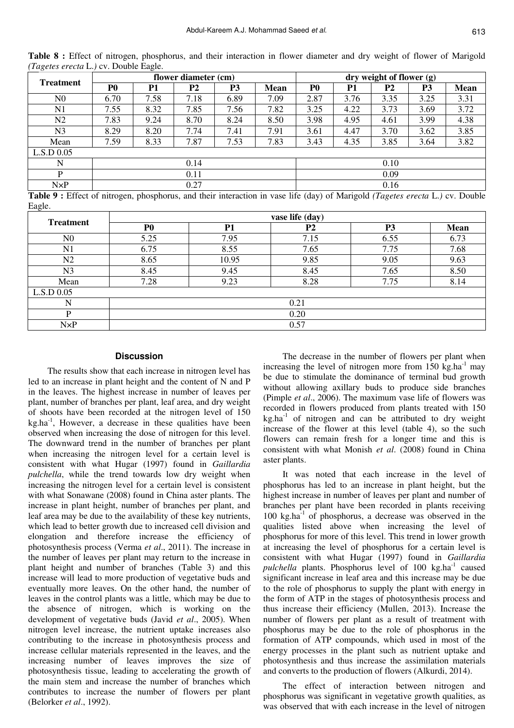| <b>Treatment</b> | flower diameter (cm) |                |           |                |             |                | dry weight of flower (g) |                |      |      |  |
|------------------|----------------------|----------------|-----------|----------------|-------------|----------------|--------------------------|----------------|------|------|--|
|                  | P <sub>0</sub>       | P <sub>1</sub> | <b>P2</b> | P <sub>3</sub> | <b>Mean</b> | P <sub>0</sub> | P1                       | P <sub>2</sub> | P3   | Mean |  |
| N <sub>0</sub>   | 6.70                 | 7.58           | 7.18      | 6.89           | 7.09        | 2.87           | 3.76                     | 3.35           | 3.25 | 3.31 |  |
| N1               | 7.55                 | 8.32           | 7.85      | 7.56           | 7.82        | 3.25           | 4.22                     | 3.73           | 3.69 | 3.72 |  |
| N <sub>2</sub>   | 7.83                 | 9.24           | 8.70      | 8.24           | 8.50        | 3.98           | 4.95                     | 4.61           | 3.99 | 4.38 |  |
| N <sub>3</sub>   | 8.29                 | 8.20           | 7.74      | 7.41           | 7.91        | 3.61           | 4.47                     | 3.70           | 3.62 | 3.85 |  |
| Mean             | 7.59                 | 8.33           | 7.87      | 7.53           | 7.83        | 3.43           | 4.35                     | 3.85           | 3.64 | 3.82 |  |
| L.S.D.0.05       |                      |                |           |                |             |                |                          |                |      |      |  |
| N                |                      | 0.14<br>0.10   |           |                |             |                |                          |                |      |      |  |
| D                |                      | 0.09           |           |                |             |                |                          |                |      |      |  |
| $N \times P$     |                      |                | 0.27      |                |             |                |                          | 0.16           |      |      |  |

**Table 8 :** Effect of nitrogen, phosphorus, and their interaction in flower diameter and dry weight of flower of Marigold *(Tagetes erecta* L.*)* cv. Double Eagle.

**Table 9 :** Effect of nitrogen, phosphorus, and their interaction in vase life (day) of Marigold *(Tagetes erecta* L.*)* cv. Double Eagle.

| $\tilde{}$<br><b>Treatment</b> | vase life (day) |                |                |                |             |  |  |  |  |  |  |  |
|--------------------------------|-----------------|----------------|----------------|----------------|-------------|--|--|--|--|--|--|--|
|                                | P <sub>0</sub>  | P <sub>1</sub> | P <sub>2</sub> | P <sub>3</sub> | <b>Mean</b> |  |  |  |  |  |  |  |
| N <sub>0</sub>                 | 5.25            | 7.95           | 7.15           | 6.55           | 6.73        |  |  |  |  |  |  |  |
| N1                             | 6.75            | 8.55           | 7.65           | 7.75           | 7.68        |  |  |  |  |  |  |  |
| N <sub>2</sub>                 | 8.65            | 10.95          | 9.85           | 9.05           | 9.63        |  |  |  |  |  |  |  |
| N <sub>3</sub>                 | 8.45            | 9.45           | 8.45           | 7.65           | 8.50        |  |  |  |  |  |  |  |
| Mean                           | 7.28            | 9.23           | 8.28           | 7.75           | 8.14        |  |  |  |  |  |  |  |
| L.S.D.0.05                     |                 |                |                |                |             |  |  |  |  |  |  |  |
| N                              |                 |                | 0.21           |                |             |  |  |  |  |  |  |  |
| P                              |                 | 0.20           |                |                |             |  |  |  |  |  |  |  |
| $N \times P$                   |                 |                | 0.57           |                |             |  |  |  |  |  |  |  |

#### **Discussion**

The results show that each increase in nitrogen level has led to an increase in plant height and the content of N and P in the leaves. The highest increase in number of leaves per plant, number of branches per plant, leaf area, and dry weight of shoots have been recorded at the nitrogen level of 150  $kg<sub>1</sub>$ , However, a decrease in these qualities have been observed when increasing the dose of nitrogen for this level. The downward trend in the number of branches per plant when increasing the nitrogen level for a certain level is consistent with what Hugar (1997) found in *Gaillardia pulchella*, while the trend towards low dry weight when increasing the nitrogen level for a certain level is consistent with what Sonawane (2008) found in China aster plants. The increase in plant height, number of branches per plant, and leaf area may be due to the availability of these key nutrients, which lead to better growth due to increased cell division and elongation and therefore increase the efficiency of photosynthesis process (Verma *et al*., 2011). The increase in the number of leaves per plant may return to the increase in plant height and number of branches (Table 3) and this increase will lead to more production of vegetative buds and eventually more leaves. On the other hand, the number of leaves in the control plants was a little, which may be due to the absence of nitrogen, which is working on the development of vegetative buds (Javid *et al*., 2005). When nitrogen level increase, the nutrient uptake increases also contributing to the increase in photosynthesis process and increase cellular materials represented in the leaves, and the increasing number of leaves improves the size of photosynthesis tissue, leading to accelerating the growth of the main stem and increase the number of branches which contributes to increase the number of flowers per plant (Belorker *et al*., 1992).

The decrease in the number of flowers per plant when increasing the level of nitrogen more from  $150 \text{ kg.ha}^{-1}$  may be due to stimulate the dominance of terminal bud growth without allowing axillary buds to produce side branches (Pimple *et al*., 2006). The maximum vase life of flowers was recorded in flowers produced from plants treated with 150  $kg, ha^{-1}$  of nitrogen and can be attributed to dry weight increase of the flower at this level (table 4), so the such flowers can remain fresh for a longer time and this is consistent with what Monish *et al*. (2008) found in China aster plants.

It was noted that each increase in the level of phosphorus has led to an increase in plant height, but the highest increase in number of leaves per plant and number of branches per plant have been recorded in plants receiving  $100 \text{ kg.ha}^{-1}$  of phosphorus, a decrease was observed in the qualities listed above when increasing the level of phosphorus for more of this level. This trend in lower growth at increasing the level of phosphorus for a certain level is consistent with what Hugar (1997) found in *Gaillardia*  pulchella plants. Phosphorus level of 100 kg.ha<sup>-1</sup> caused significant increase in leaf area and this increase may be due to the role of phosphorus to supply the plant with energy in the form of ATP in the stages of photosynthesis process and thus increase their efficiency (Mullen, 2013). Increase the number of flowers per plant as a result of treatment with phosphorus may be due to the role of phosphorus in the formation of ATP compounds, which used in most of the energy processes in the plant such as nutrient uptake and photosynthesis and thus increase the assimilation materials and converts to the production of flowers (Alkurdi, 2014).

The effect of interaction between nitrogen and phosphorus was significant in vegetative growth qualities, as was observed that with each increase in the level of nitrogen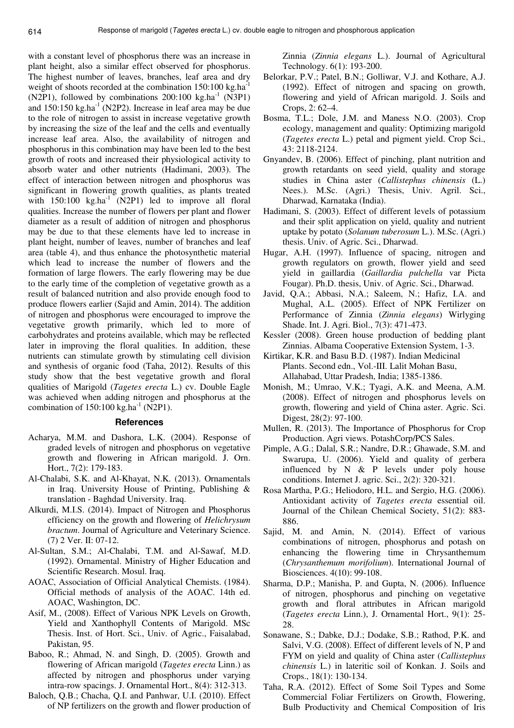with a constant level of phosphorus there was an increase in plant height, also a similar effect observed for phosphorus. The highest number of leaves, branches, leaf area and dry weight of shoots recorded at the combination 150:100 kg.ha<sup>-1</sup>  $(N2P1)$ , followed by combinations 200:100 kg.ha<sup>-1</sup> (N3P1) and  $150:150$  kg.ha<sup>-1</sup> (N2P2). Increase in leaf area may be due to the role of nitrogen to assist in increase vegetative growth by increasing the size of the leaf and the cells and eventually increase leaf area. Also, the availability of nitrogen and phosphorus in this combination may have been led to the best growth of roots and increased their physiological activity to absorb water and other nutrients (Hadimani, 2003). The effect of interaction between nitrogen and phosphorus was significant in flowering growth qualities, as plants treated with  $150:100 \text{ kg.ha}^{-1}$  (N2P1) led to improve all floral qualities. Increase the number of flowers per plant and flower diameter as a result of addition of nitrogen and phosphorus may be due to that these elements have led to increase in plant height, number of leaves, number of branches and leaf area (table 4), and thus enhance the photosynthetic material which lead to increase the number of flowers and the formation of large flowers. The early flowering may be due to the early time of the completion of vegetative growth as a result of balanced nutrition and also provide enough food to produce flowers earlier (Sajid and Amin, 2014). The addition of nitrogen and phosphorus were encouraged to improve the vegetative growth primarily, which led to more of carbohydrates and proteins available, which may be reflected later in improving the floral qualities. In addition, these nutrients can stimulate growth by stimulating cell division and synthesis of organic food (Taha, 2012). Results of this study show that the best vegetative growth and floral qualities of Marigold (*Tagetes erecta* L.) cv. Double Eagle was achieved when adding nitrogen and phosphorus at the combination of  $150:100$  kg.ha<sup>-1</sup> (N2P1).

## **References**

- Acharya, M.M. and Dashora, L.K. (2004). Response of graded levels of nitrogen and phosphorus on vegetative growth and flowering in African marigold. J. Orn. Hort., 7(2): 179-183.
- Al-Chalabi, S.K. and Al-Khayat, N.K. (2013). Ornamentals in Iraq. University House of Printing, Publishing & translation - Baghdad University. Iraq.
- Alkurdi, M.I.S. (2014). Impact of Nitrogen and Phosphorus efficiency on the growth and flowering of *Helichrysum bractum*. Journal of Agriculture and Veterinary Science. (7) 2 Ver. II: 07-12.
- Al-Sultan, S.M.; Al-Chalabi, T.M. and Al-Sawaf, M.D. (1992). Ornamental. Ministry of Higher Education and Scientific Research. Mosul. Iraq.
- AOAC, Association of Official Analytical Chemists. (1984). Official methods of analysis of the AOAC. 14th ed. AOAC, Washington, DC.
- Asif, M., (2008). Effect of Various NPK Levels on Growth, Yield and Xanthophyll Contents of Marigold. MSc Thesis. Inst. of Hort. Sci., Univ. of Agric., Faisalabad, Pakistan, 95.
- Baboo, R.; Ahmad, N. and Singh, D. (2005). Growth and flowering of African marigold (*Tagetes erecta* Linn.) as affected by nitrogen and phosphorus under varying intra-row spacings. J. Ornamental Hort., 8(4): 312-313.
- Baloch, Q.B.; Chacha, Q.I. and Panhwar, U.I. (2010). Effect of NP fertilizers on the growth and flower production of

Zinnia (*Zinnia elegans* L.). Journal of Agricultural Technology. 6(1): 193-200.

- Belorkar, P.V.; Patel, B.N.; Golliwar, V.J. and Kothare, A.J. (1992). Effect of nitrogen and spacing on growth, flowering and yield of African marigold. J. Soils and Crops, 2: 62–4.
- Bosma, T.L.; Dole, J.M. and Maness N.O. (2003). Crop ecology, management and quality: Optimizing marigold (*Tagetes erecta* L.) petal and pigment yield. Crop Sci., 43: 2118-2124.
- Gnyandev, B. (2006). Effect of pinching, plant nutrition and growth retardants on seed yield, quality and storage studies in China aster (*Callistephus chinensis* (L.) Nees.). M.Sc. (Agri.) Thesis, Univ. Agril. Sci., Dharwad, Karnataka (India).
- Hadimani, S. (2003). Effect of different levels of potassium and their split application on yield, quality and nutrient uptake by potato (*Solanum tuberosum* L.). M.Sc. (Agri.) thesis. Univ. of Agric. Sci., Dharwad.
- Hugar, A.H. (1997). Influence of spacing, nitrogen and growth regulators on growth, flower yield and seed yield in gaillardia (*Gaillardia pulchella* var Picta Fougar). Ph.D. thesis, Univ. of Agric. Sci., Dharwad.
- Javid, Q.A.; Abbasi, N.A.; Saleem, N.; Hafiz, I.A. and Mughal, A.L. (2005). Effect of NPK Fertilizer on Performance of Zinnia (*Zinnia elegans*) Wirlyging Shade. Int. J. Agri. Biol., 7(3): 471-473.
- Kessler (2008). Green house production of bedding plant Zinnias. Albama Cooperative Extension System, 1-3.
- Kirtikar, K.R. and Basu B.D. (1987). Indian Medicinal Plants. Second edn., Vol.-III. Lalit Mohan Basu, Allahabad, Uttar Pradesh, India; 1385-1386.
- Monish, M.; Umrao, V.K.; Tyagi, A.K. and Meena, A.M. (2008). Effect of nitrogen and phosphorus levels on growth, flowering and yield of China aster. Agric. Sci. Digest, 28(2): 97-100.
- Mullen, R. (2013). The Importance of Phosphorus for Crop Production. Agri views. PotashCorp/PCS Sales.
- Pimple, A.G.; Dalal, S.R.; Nandre, D.R.; Ghawade, S.M. and Swarupa, U. (2006). Yield and quality of gerbera influenced by N & P levels under poly house conditions. Internet J. agric. Sci., 2(2): 320-321.
- Rosa Martha, P.G.; Heliodoro, H.L. and Sergio, H.G. (2006). Antioxidant activity of *Tagetes erecta* essential oil. Journal of the Chilean Chemical Society, 51(2): 883- 886.
- Sajid, M. and Amin, N. (2014). Effect of various combinations of nitrogen, phosphorus and potash on enhancing the flowering time in Chrysanthemum (*Chrysanthemum morifolium*). International Journal of Biosciences. 4(10): 99-108.
- Sharma, D.P.; Manisha, P. and Gupta, N. (2006). Influence of nitrogen, phosphorus and pinching on vegetative growth and floral attributes in African marigold (*Tagetes erecta* Linn.), J. Ornamental Hort., 9(1): 25- 28.
- Sonawane, S.; Dabke, D.J.; Dodake, S.B.; Rathod, P.K. and Salvi, V.G. (2008). Effect of different levels of N, P and FYM on yield and quality of China aster (*Callistephus chinensis* L.) in lateritic soil of Konkan. J. Soils and Crops., 18(1): 130-134.
- Taha, R.A. (2012). Effect of Some Soil Types and Some Commercial Foliar Fertilizers on Growth, Flowering, Bulb Productivity and Chemical Composition of Iris